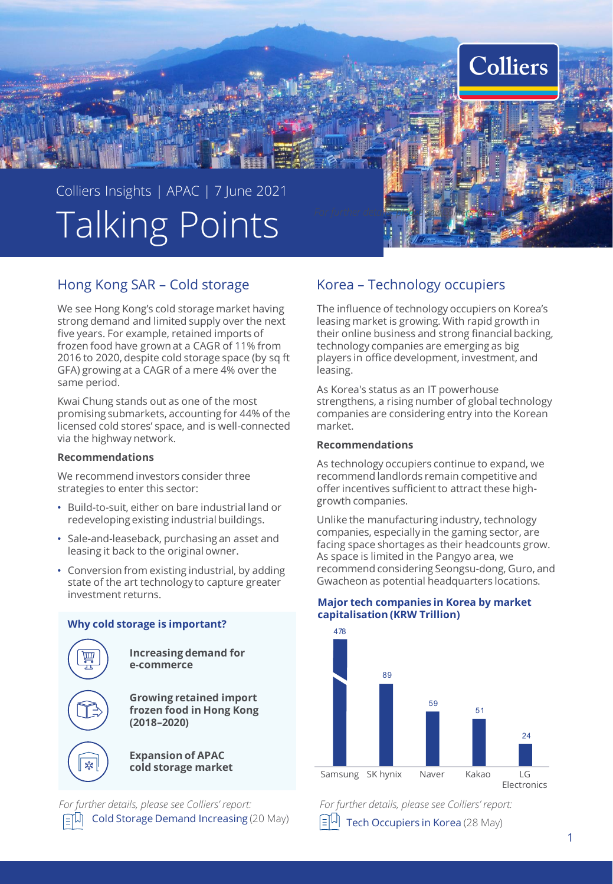

# Hong Kong SAR – Cold storage

We see Hong Kong's cold storage market having strong demand and limited supply over the next five years. For example, retained imports of frozen food have grown at a CAGR of 11% from 2016 to 2020, despite cold storage space (by sq ft GFA) growing at a CAGR of a mere 4% over the same period.

Kwai Chung stands out as one of the most promising submarkets, accounting for 44% of the licensed cold stores' space, and is well-connected via the highway network.

## **Recommendations**

We recommend investors consider three strategies to enter this sector:

- Build-to-suit, either on bare industrial land or redeveloping existing industrial buildings.
- Sale-and-leaseback, purchasing an asset and leasing it back to the original owner.
- Conversion from existing industrial, by adding state of the art technology to capture greater investment returns.



**Why cold storage is important?**

**Increasing demand for e-commerce** 

**Growing retained import frozen food in Hong Kong (2018–2020)**

**Expansion of APAC cold storage market**

[Cold Storage Demand](https://www.colliers.com/en-hk/research/cold-storage-demand-increasing) Increasing (20 May) *For further details, please see Colliers' report:*

## Korea – Technology occupiers

The influence of technology occupiers on Korea's leasing market is growing. With rapid growth in their online business and strong financial backing, technology companies are emerging as big players in office development, investment, and leasing.

As Korea's status as an IT powerhouse strengthens, a rising number of global technology companies are considering entry into the Korean market.

### **Recommendations**

As technology occupiers continue to expand, we recommend landlords remain competitive and offer incentives sufficient to attract these highgrowth companies.

Unlike the manufacturing industry, technology companies, especially in the gaming sector, are facing space shortages as their headcounts grow. As space is limited in the Pangyo area, we recommend considering Seongsu-dong, Guro, and Gwacheon as potential headquarters locations.

### **Major tech companies in Korea by market capitalisation (KRW Trillion)**



*For further details, please see Colliers' report:* [Tech Occupiers in Korea](https://www.colliers.com/en-kr/research/2021-may-tech-occupiers-in-korea-english-ver) (28 May)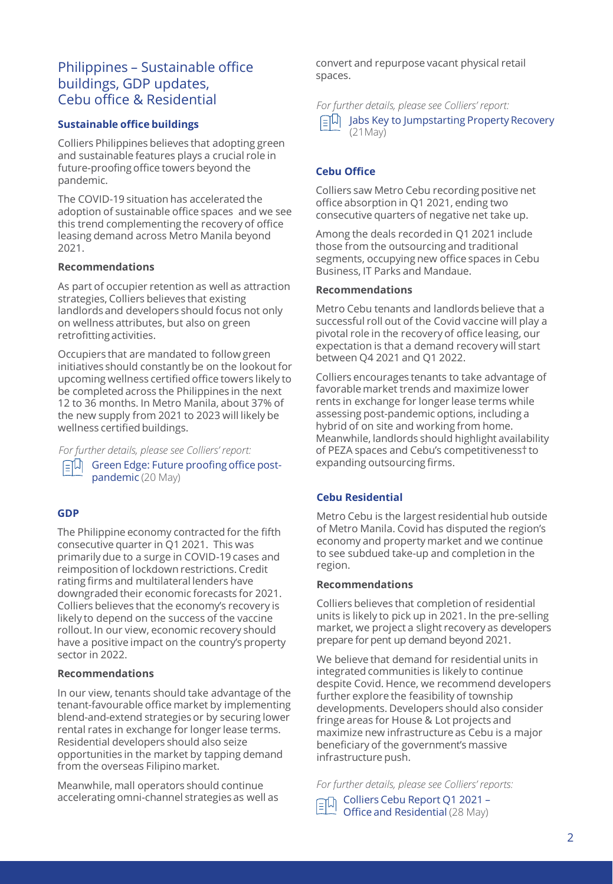# Philippines – Sustainable office buildings, GDP updates, Cebu office & Residential

## **Sustainable office buildings**

Colliers Philippines believes that adopting green and sustainable features plays a crucial role in future-proofing office towers beyond the pandemic.

The COVID-19 situation has accelerated the adoption of sustainable office spaces and we see this trend complementing the recovery of office leasing demand across Metro Manila beyond 2021.

## **Recommendations**

As part of occupier retention as well as attraction strategies, Colliers believes that existing landlords and developers should focus not only on wellness attributes, but also on green retrofitting activities.

Occupiers that are mandated to follow green initiatives should constantly be on the lookout for upcoming wellness certified office towers likely to be completed across the Philippines in the next 12 to 36 months. In Metro Manila, about 37% of the new supply from 2021 to 2023 will likely be wellness certified buildings.

*For further details, please see Colliers' report:*

[Green Edge: Future proofing office post](https://www.colliers.com/en-ph/research/flash-report-green-edge-future-proofing-offices-post-pandemic)pandemic (20 May)

## **GDP**

The Philippine economy contracted for the fifth consecutive quarter in Q1 2021. This was primarily due to a surge in COVID-19 cases and reimposition of lockdown restrictions. Credit rating firms and multilateral lenders have downgraded their economic forecasts for 2021. Colliers believes that the economy's recovery is likely to depend on the success of the vaccine rollout. In our view, economic recovery should have a positive impact on the country's property sector in 2022.

### **Recommendations**

In our view, tenants should take advantage of the tenant-favourable office market by implementing blend-and-extend strategies or by securing lower rental rates in exchange for longer lease terms. Residential developers should also seize opportunities in the market by tapping demand from the overseas Filipino market.

Meanwhile, mall operators should continue accelerating omni-channel strategies as well as convert and repurpose vacant physical retail spaces.

*For further details, please see Colliers' report:*



[Jabs Key to Jumpstarting Property Recovery](https://www.colliers.com/en-ph/research/gdp-flash-jabs-key-to-jumpstarting-property-recovery)  (21May)

## **Cebu Office**

Colliers saw Metro Cebu recording positive net office absorption in Q1 2021, ending two consecutive quarters of negative net take up.

Among the deals recorded in Q1 2021 include those from the outsourcing and traditional segments, occupying new office spaces in Cebu Business, IT Parks and Mandaue.

### **Recommendations**

Metro Cebu tenants and landlords believe that a successful roll out of the Covid vaccine will play a pivotal role in the recovery of office leasing, our expectation is that a demand recovery will start between Q4 2021 and Q1 2022.

Colliers encourages tenants to take advantage of favorable market trends and maximize lower rents in exchange for longer lease terms while assessing post-pandemic options, including a hybrid of on site and working from home. Meanwhile, landlords should highlight availability of PEZA spaces and Cebu's competitiveness† to expanding outsourcing firms.

## **Cebu Residential**

Metro Cebu is the largest residential hub outside of Metro Manila. Covid has disputed the region's economy and property market and we continue to see subdued take-up and completion in the region.

### **Recommendations**

Colliers believes that completion of residential units is likely to pick up in 2021. In the pre-selling market, we project a slight recovery as developers prepare for pent up demand beyond 2021.

We believe that demand for residential units in integrated communities is likely to continue despite Covid. Hence, we recommend developers further explore the feasibility of township developments. Developers should also consider fringe areas for House & Lot projects and maximize new infrastructure as Cebu is a major beneficiary of the government's massive infrastructure push.

*For further details, please see Colliers' reports:*

[Colliers Cebu Report Q1 2021](https://www.colliers.com/en-ph/research/colliers-cebu-report-q1-2021-office-and-residential) – Office and Residential (28 May)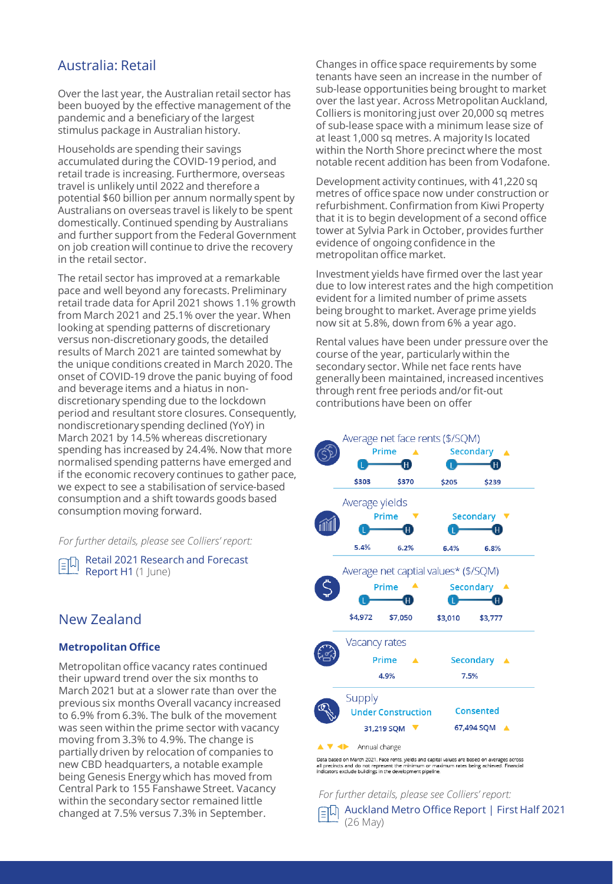## Australia: Retail

Over the last year, the Australian retail sector has been buoyed by the effective management of the pandemic and a beneficiary of the largest stimulus package in Australian history.

Households are spending their savings accumulated during the COVID-19 period, and retail trade is increasing. Furthermore, overseas travel is unlikely until 2022 and therefore a potential \$60 billion per annum normally spent by Australians on overseas travel is likely to be spent domestically. Continued spending by Australians and further support from the Federal Government on job creation will continue to drive the recovery in the retail sector.

The retail sector has improved at a remarkable pace and well beyond any forecasts. Preliminary retail trade data for April 2021 shows 1.1% growth from March 2021 and 25.1% over the year. When looking at spending patterns of discretionary versus non-discretionary goods, the detailed results of March 2021 are tainted somewhat by the unique conditions created in March 2020. The onset of COVID-19 drove the panic buying of food and beverage items and a hiatus in nondiscretionary spending due to the lockdown period and resultant store closures. Consequently, nondiscretionary spending declined (YoY) in March 2021 by 14.5% whereas discretionary spending has increased by 24.4%. Now that more normalised spending patterns have emerged and if the economic recovery continues to gather pace, we expect to see a stabilisation of service-based consumption and a shift towards goods based consumption moving forward.

*For further details, please see Colliers' report:*

[Retail 2021 Research and Forecast](https://www.colliers.com.au/en-au/research/retail-rfr-h1-2021)  即 Report H1 (1 June)

## New Zealand

## **Metropolitan Office**

Metropolitan office vacancy rates continued their upward trend over the six months to March 2021 but at a slower rate than over the previous six months Overall vacancy increased to 6.9% from 6.3%. The bulk of the movement was seen within the prime sector with vacancy moving from 3.3% to 4.9%. The change is partially driven by relocation of companies to new CBD headquarters, a notable example being Genesis Energy which has moved from Central Park to 155 Fanshawe Street. Vacancy within the secondary sector remained little changed at 7.5% versus 7.3% in September.

Changes in office space requirements by some tenants have seen an increase in the number of sub-lease opportunities being brought to market over the last year. Across Metropolitan Auckland, Colliers is monitoring just over 20,000 sq metres of sub-lease space with a minimum lease size of at least 1,000 sq metres. A majority Is located within the North Shore precinct where the most notable recent addition has been from Vodafone.

Development activity continues, with 41,220 sq metres of office space now under construction or refurbishment. Confirmation from Kiwi Property that it is to begin development of a second office tower at Sylvia Park in October, provides further evidence of ongoing confidence in the metropolitan office market.

Investment yields have firmed over the last year due to low interest rates and the high competition evident for a limited number of prime assets being brought to market. Average prime yields now sit at 5.8%, down from 6% a year ago.

Rental values have been under pressure over the course of the year, particularly within the secondary sector. While net face rents have generally been maintained, increased incentives through rent free periods and/or fit-out contributions have been on offer



*For further details, please see Colliers' report:*

**Auckland Metro Office Report | First Half 2021** (26 May)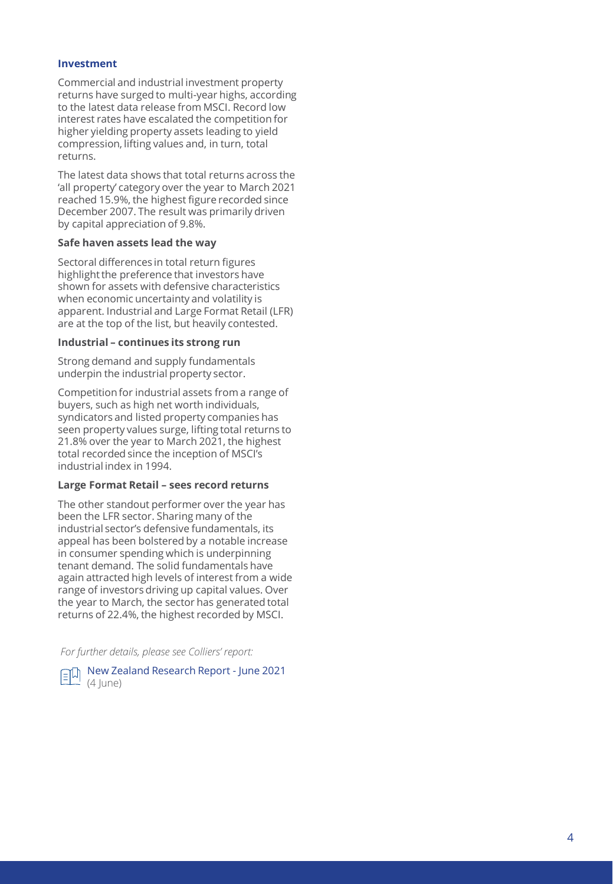## **Investment**

Commercial and industrial investment property returns have surged to multi -year highs, according to the latest data release from MSCI. Record low interest rates have escalated the competition for higher yielding property assets leading to yield compression, lifting values and, in turn, total returns.

The latest data shows that total returns across the 'all property' category over the year to March 2021 reached 15.9%, the highest figure recorded since December 2007. The result was primarily driven by capital appreciation of 9.8%.

## **Safe haven assets lead the way**

Sectoral differences in total return figures highlight the preference that investors have shown for assets with defensive characteristics when economic uncertainty and volatility is apparent. Industrial and Large Format Retail (LFR) are at the top of the list, but heavily contested.

### **Industrial – continues its strong run**

Strong demand and supply fundamentals underpin the industrial property sector.

Competition for industrial assets from a range of buyers, such as high net worth individuals, syndicators and listed property companies has seen property values surge, lifting total returns to 21.8% over the year to March 2021, the highest total recorded since the inception of MSCI's industrial index in 1994.

### **Large Format Retail – sees record returns**

The other standout performer over the year has been the LFR sector. Sharing many of the industrial sector's defensive fundamentals, its appeal has been bolstered by a notable increase in consumer spending which is underpinning tenant demand. The solid fundamentals have again attracted high levels of interest from a wide range of investors driving up capital values. Over the year to March, the sector has generated total returns of 22.4%, the highest recorded by MSCI.

*For further details, please see Colliers' report:*